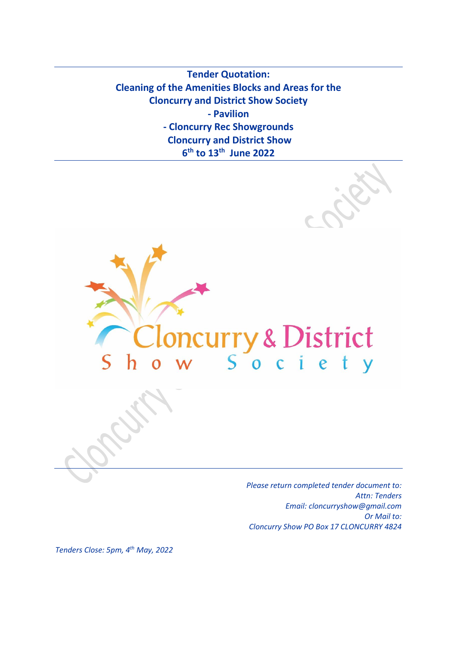**Tender Quotation: Cleaning of the Amenities Blocks and Areas for the Cloncurry and District Show Society - Pavilion - Cloncurry Rec Showgrounds Cloncurry and District Show 6 th to 13 th June 2022**



*Please return completed tender document to: Attn: Tenders Email: cloncurryshow@gmail.com Or Mail to: Cloncurry Show PO Box 17 CLONCURRY 4824*

*Tenders Close: 5pm, 4 th May, 2022*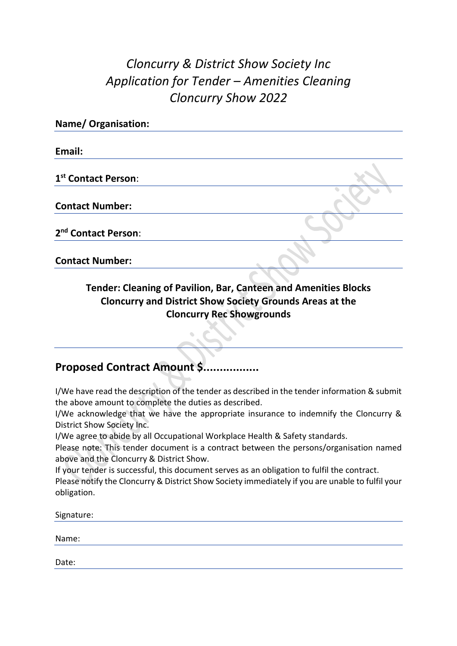# *Cloncurry & District Show Society Inc Application for Tender – Amenities Cleaning Cloncurry Show 2022*

| <b>Name/ Organisation:</b>      |  |
|---------------------------------|--|
| Email:                          |  |
| 1 <sup>st</sup> Contact Person: |  |
| <b>Contact Number:</b>          |  |
| 2 <sup>nd</sup> Contact Person: |  |
| <b>Contact Number:</b>          |  |

### **Tender: Cleaning of Pavilion, Bar, Canteen and Amenities Blocks Cloncurry and District Show Society Grounds Areas at the Cloncurry Rec Showgrounds**

## **Proposed Contract Amount \$.................**

I/We have read the description of the tender as described in the tender information & submit the above amount to complete the duties as described.

I/We acknowledge that we have the appropriate insurance to indemnify the Cloncurry & District Show Society Inc.

I/We agree to abide by all Occupational Workplace Health & Safety standards.

Please note: This tender document is a contract between the persons/organisation named above and the Cloncurry & District Show.

If your tender is successful, this document serves as an obligation to fulfil the contract.

Please notify the Cloncurry & District Show Society immediately if you are unable to fulfil your obligation.

Signature: Name:

Date: